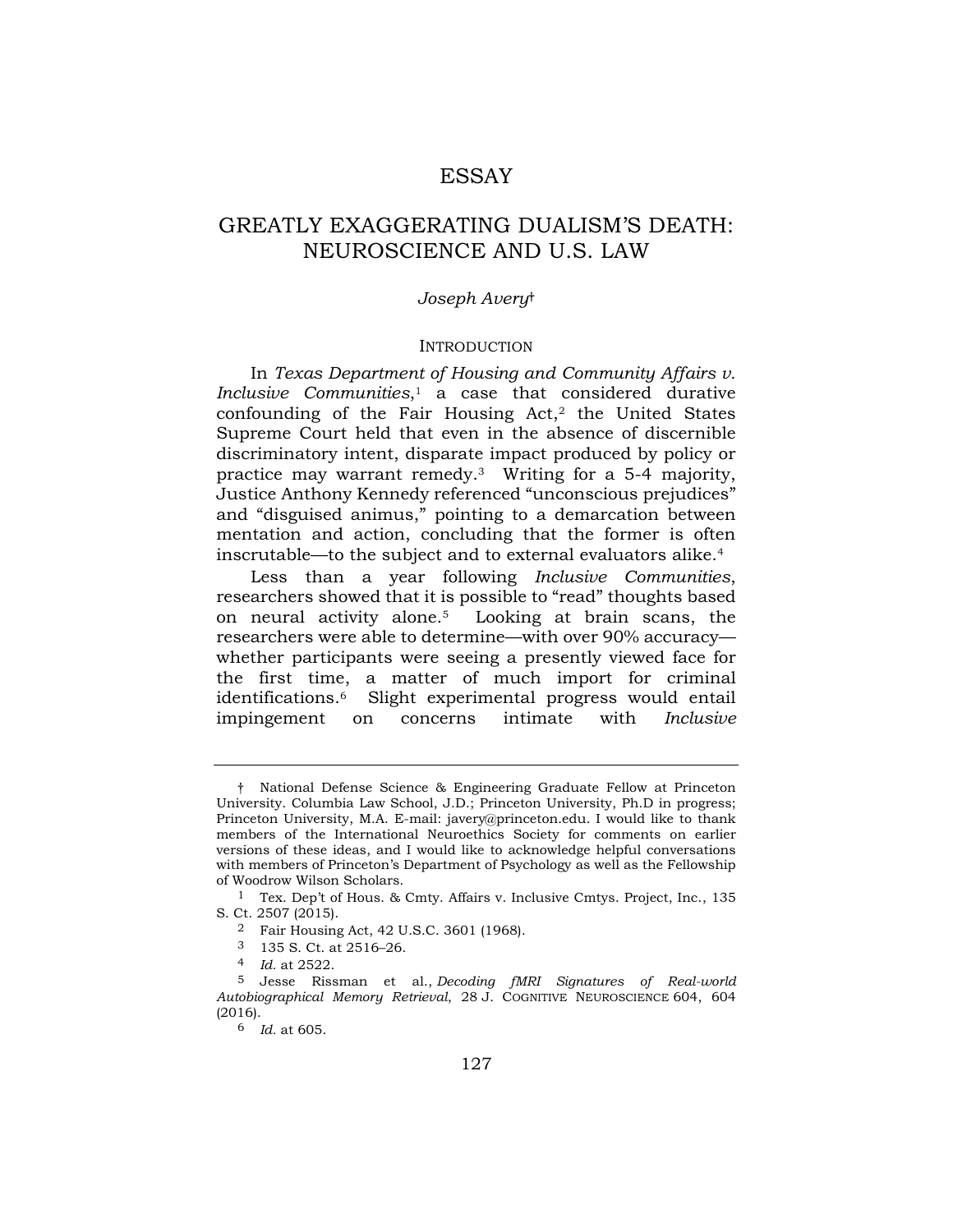## ESSAY

# GREATLY EXAGGERATING DUALISM'S DEATH: NEUROSCIENCE AND U.S. LAW

## *Joseph Avery*†

## INTRODUCTION

 In *Texas Department of Housing and Community Affairs v.*  Supreme Court held that even in the absence of discernible mentation and action, concluding that the former is often *Inclusive Communities*,1 a case that considered durative confounding of the Fair Housing  $Act<sub>1</sub><sup>2</sup>$  the United States discriminatory intent, disparate impact produced by policy or practice may warrant remedy.3 Writing for a 5-4 majority, Justice Anthony Kennedy referenced "unconscious prejudices" and "disguised animus," pointing to a demarcation between inscrutable—to the subject and to external evaluators alike.4

 whether participants were seeing a presently viewed face for Less than a year following *Inclusive Communities*, researchers showed that it is possible to "read" thoughts based on neural activity alone.5 Looking at brain scans, the researchers were able to determine—with over 90% accuracy the first time, a matter of much import for criminal identifications.6 Slight experimental progress would entail impingement on concerns intimate with *Inclusive* 

 Princeton University, M.A. E-mail: [javery@princeton.edu.](mailto:javery@princeton.edu) I would like to thank members of the International Neuroethics Society for comments on earlier versions of these ideas, and I would like to acknowledge helpful conversations with members of Princeton's Department of Psychology as well as the Fellowship † National Defense Science & Engineering Graduate Fellow at Princeton University. Columbia Law School, J.D.; Princeton University, Ph.D in progress; of Woodrow Wilson Scholars.

 1 Tex. Dep't of Hous. & Cmty. Affairs v. Inclusive Cmtys. Project, Inc., 135 S. Ct. 2507 (2015).

<sup>2</sup> Fair Housing Act, 42 U.S.C. 3601 (1968).

<sup>3 135</sup> S. Ct. at 2516–26.

<sup>4</sup> *Id.* at 2522.

 5 Jesse Rissman et al., *Decoding fMRI Signatures of Real-world Autobiographical Memory Retrieval*, 28 J. COGNITIVE NEUROSCIENCE 604, 604 (2016).

<sup>6</sup> *Id.* at 605.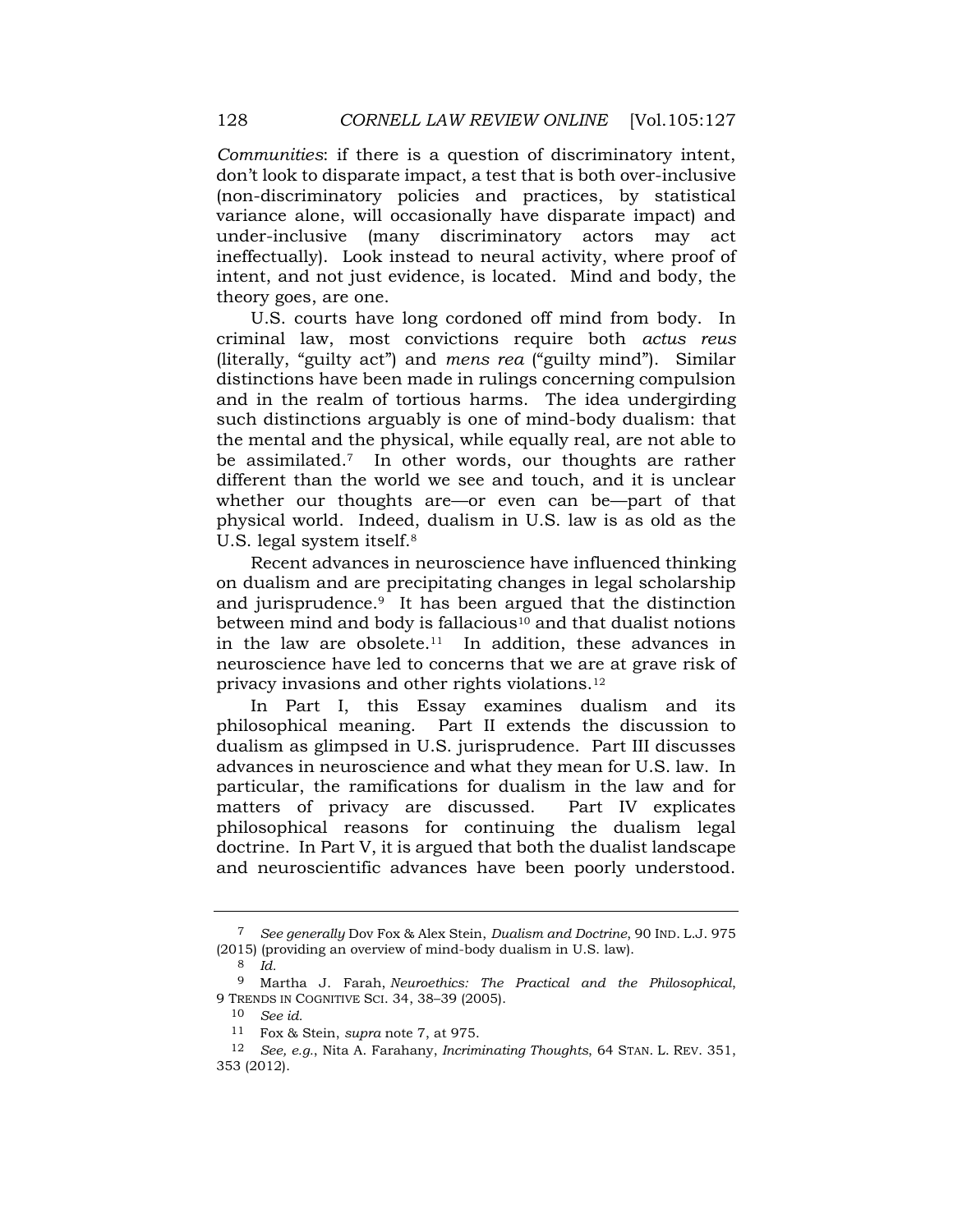don't look to disparate impact, a test that is both over-inclusive *Communities*: if there is a question of discriminatory intent, (non-discriminatory policies and practices, by statistical variance alone, will occasionally have disparate impact) and under-inclusive (many discriminatory actors may act ineffectually). Look instead to neural activity, where proof of intent, and not just evidence, is located. Mind and body, the theory goes, are one.

 criminal law, most convictions require both *actus reus*  different than the world we see and touch, and it is unclear physical world. Indeed, dualism in U.S. law is as old as the U.S. courts have long cordoned off mind from body. In (literally, "guilty act") and *mens rea* ("guilty mind"). Similar distinctions have been made in rulings concerning compulsion and in the realm of tortious harms. The idea undergirding such distinctions arguably is one of mind-body dualism: that the mental and the physical, while equally real, are not able to be assimilated.7 In other words, our thoughts are rather whether our thoughts are—or even can be—part of that U.S. legal system itself.8

 neuroscience have led to concerns that we are at grave risk of Recent advances in neuroscience have influenced thinking on dualism and are precipitating changes in legal scholarship and jurisprudence.9 It has been argued that the distinction between mind and body is fallacious<sup>10</sup> and that dualist notions in the law are obsolete.<sup>11</sup> In addition, these advances in privacy invasions and other rights [violations.12](https://violations.12)

 philosophical meaning. Part II extends the discussion to dualism as glimpsed in U.S. jurisprudence. Part III discusses particular, the ramifications for dualism in the law and for Part IV explicates In Part I, this Essay examines dualism and its advances in neuroscience and what they mean for U.S. law. In matters of privacy are discussed. philosophical reasons for continuing the dualism legal doctrine. In Part V, it is argued that both the dualist landscape and neuroscientific advances have been poorly understood.

 7 *See generally* Dov Fox & Alex Stein, *Dualism and Doctrine*, 90 IND. L.J. 975 (2015) (providing an overview of mind-body dualism in U.S. law).

<sup>8</sup> *Id.* 

<sup>9</sup> Martha J. Farah, *Neuroethics: The Practical and the Philosophical*, 9 TRENDS IN COGNITIVE SCI. 34, 38–39 (2005).

<sup>10</sup> *See id.* 

<sup>11</sup> Fox & Stein, *supra* note 7, at 975.

 12 *See, e.g.*, Nita A. Farahany, *Incriminating Thoughts*, 64 STAN. L. REV. 351, 353 (2012).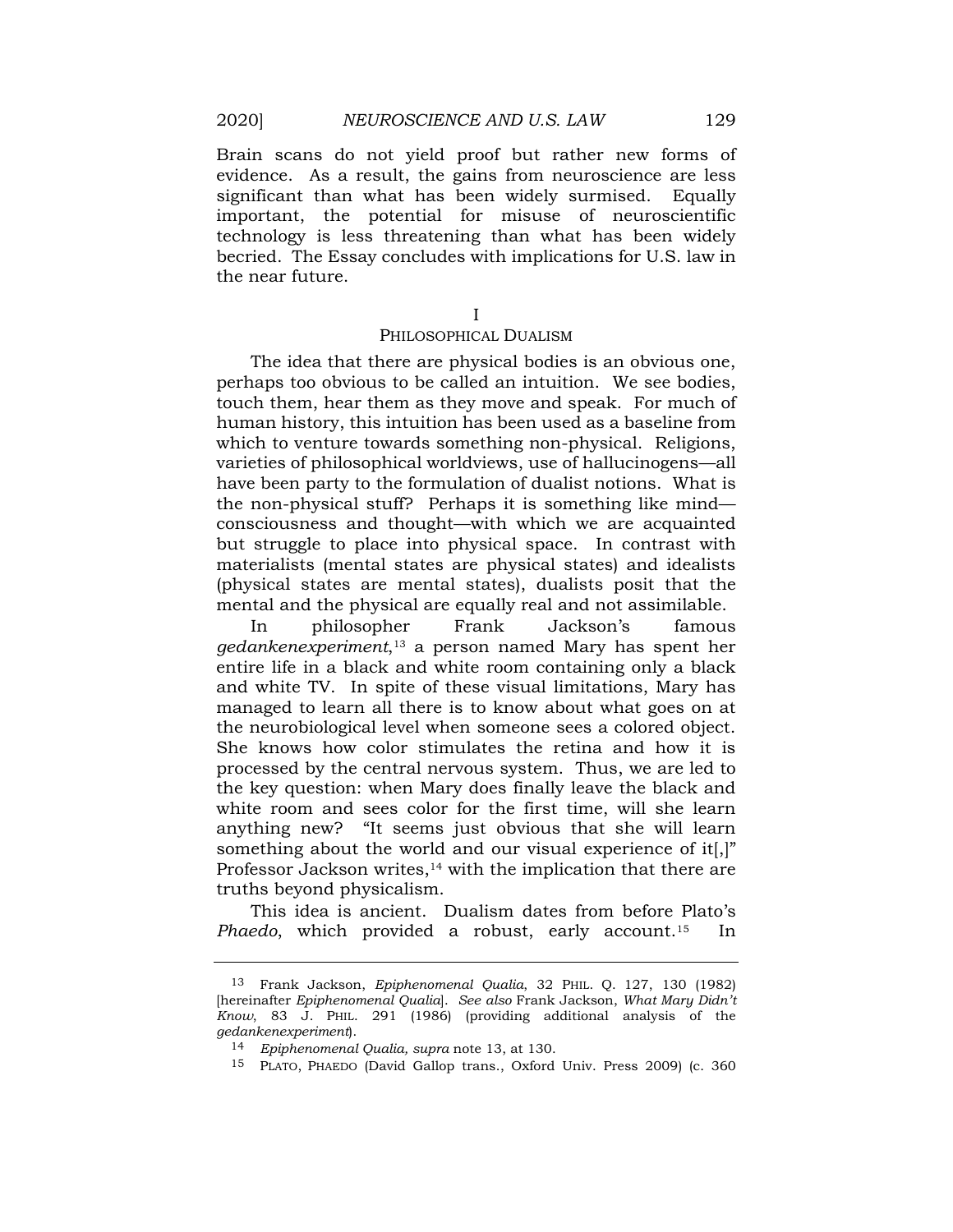technology is less threatening than what has been widely Brain scans do not yield proof but rather new forms of evidence. As a result, the gains from neuroscience are less significant than what has been widely surmised. Equally important, the potential for misuse of neuroscientific becried. The Essay concludes with implications for U.S. law in the near future.

I

## PHILOSOPHICAL DUALISM

 have been party to the formulation of dualist notions. What is but struggle to place into physical space. In contrast with The idea that there are physical bodies is an obvious one, perhaps too obvious to be called an intuition. We see bodies, touch them, hear them as they move and speak. For much of human history, this intuition has been used as a baseline from which to venture towards something non-physical. Religions, varieties of philosophical worldviews, use of hallucinogens—all the non-physical stuff? Perhaps it is something like mind consciousness and thought—with which we are acquainted materialists (mental states are physical states) and idealists (physical states are mental states), dualists posit that the mental and the physical are equally real and not assimilable.

 entire life in a black and white room containing only a black managed to learn all there is to know about what goes on at She knows how color stimulates the retina and how it is white room and sees color for the first time, will she learn anything new? "It seems just obvious that she will learn In philosopher Frank Jackson's famous *gedankenexperiment*,13 a person named Mary has spent her and white TV. In spite of these visual limitations, Mary has the neurobiological level when someone sees a colored object. processed by the central nervous system. Thus, we are led to the key question: when Mary does finally leave the black and something about the world and our visual experience of it.]" Professor Jackson writes, $14$  with the implication that there are truths beyond physicalism.

This idea is ancient. Dualism dates from before Plato's *Phaedo*, which provided a robust, early [account.15](https://account.15) In

 [hereinafter *Epiphenomenal Qualia*]. *See also* Frank Jackson, *What Mary Didn't Know*, 83 J. PHIL. 291 (1986) (providing additional analysis of the 13 Frank Jackson, *Epiphenomenal Qualia*, 32 PHIL. Q. 127, 130 (1982) *gedankenexperiment*).

<sup>14</sup> *Epiphenomenal Qualia, supra* note 13, at 130.

 15 PLATO, PHAEDO (David Gallop trans., Oxford Univ. Press 2009) (c. 360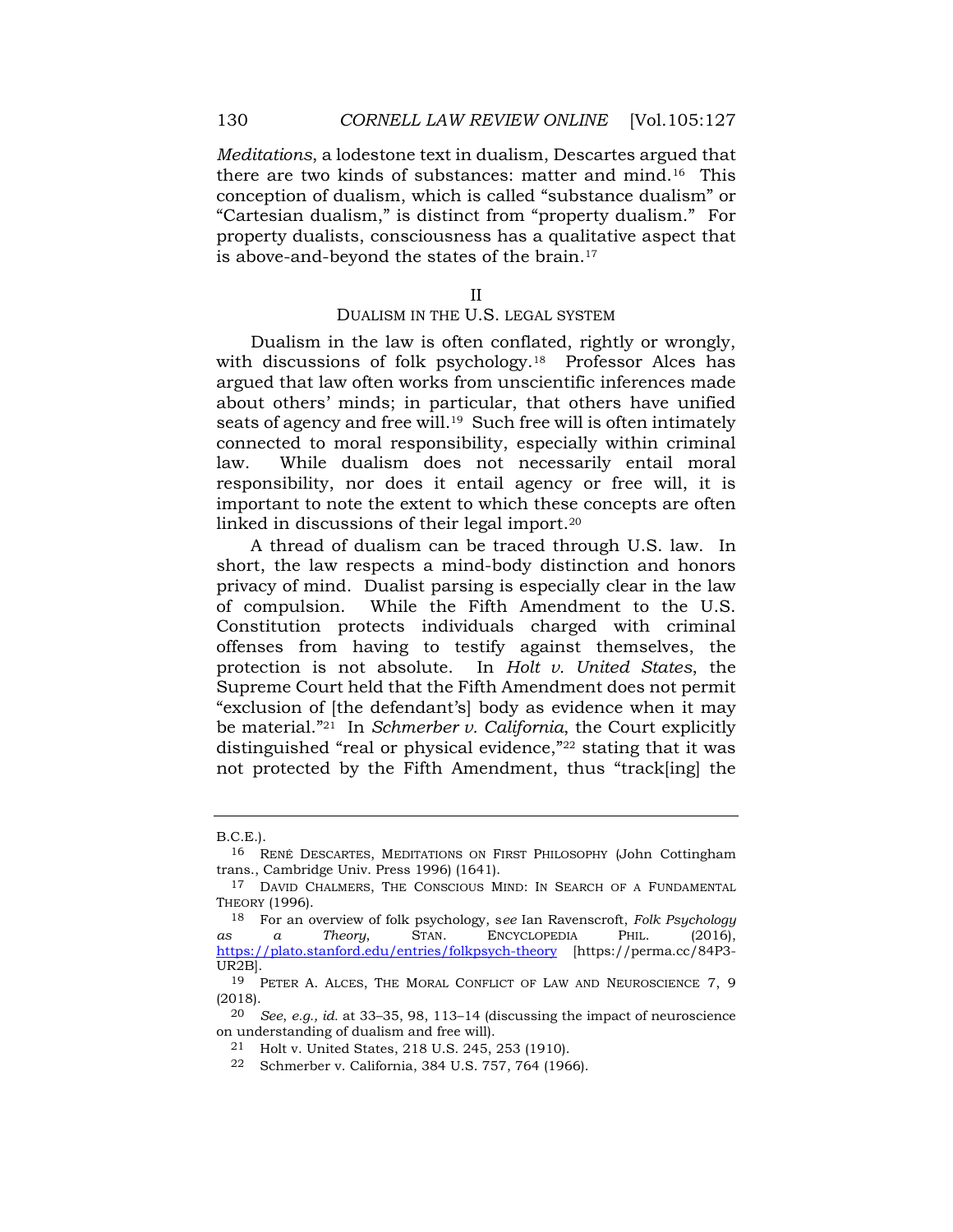*Meditations*, a lodestone text in dualism, Descartes argued that there are two kinds of substances: matter and mind.16 This conception of dualism, which is called "substance dualism" or "Cartesian dualism," is distinct from "property dualism." For property dualists, consciousness has a qualitative aspect that is above-and-beyond the states of the [brain.17](https://brain.17)

II

## DUALISM IN THE U.S. LEGAL SYSTEM

 responsibility, nor does it entail agency or free will, it is important to note the extent to which these concepts are often Dualism in the law is often conflated, rightly or wrongly, with discussions of folk psychology.<sup>18</sup> Professor Alces has argued that law often works from unscientific inferences made about others' minds; in particular, that others have unified seats of agency and free will.<sup>19</sup> Such free will is often intimately connected to moral responsibility, especially within criminal law. While dualism does not necessarily entail moral linked in discussions of their legal [import.20](https://import.20) 

 A thread of dualism can be traced through U.S. law. In protection is not absolute. In *Holt v. United States*, the be material."21 In *Schmerber v. California*, the Court explicitly not protected by the Fifth Amendment, thus "track[ing] the short, the law respects a mind-body distinction and honors privacy of mind. Dualist parsing is especially clear in the law of compulsion. While the Fifth Amendment to the U.S. Constitution protects individuals charged with criminal offenses from having to testify against themselves, the Supreme Court held that the Fifth Amendment does not permit "exclusion of [the defendant's] body as evidence when it may distinguished "real or physical evidence,"22 stating that it was

B.C.E.).

<sup>16</sup> RENÉ DESCARTES, MEDITATIONS ON FIRST PHILOSOPHY (John Cottingham trans., Cambridge Univ. Press 1996) (1641).

 17 DAVID CHALMERS, THE CONSCIOUS MIND: IN SEARCH OF A FUNDAMENTAL THEORY (1996).

 $a$ s 18 For an overview of folk psychology, s*ee* Ian Ravenscroft, *Folk Psychology as a Theory*, STAN. ENCYCLOPEDIA PHIL. (2016), <https://plato.stanford.edu/entries/folkpsych-theory>[[https://perma.cc/84P3-](https://perma.cc/84P3) UR2B].

 19 PETER A. ALCES, THE MORAL CONFLICT OF LAW AND NEUROSCIENCE 7, 9 (2018).

 20 *See*, *e.g., id.* at 33–35, 98, 113–14 (discussing the impact of neuroscience on understanding of dualism and free will).

<sup>21</sup> Holt v. United States, 218 U.S. 245, 253 (1910).

<sup>22</sup> Schmerber v. California, 384 U.S. 757, 764 (1966).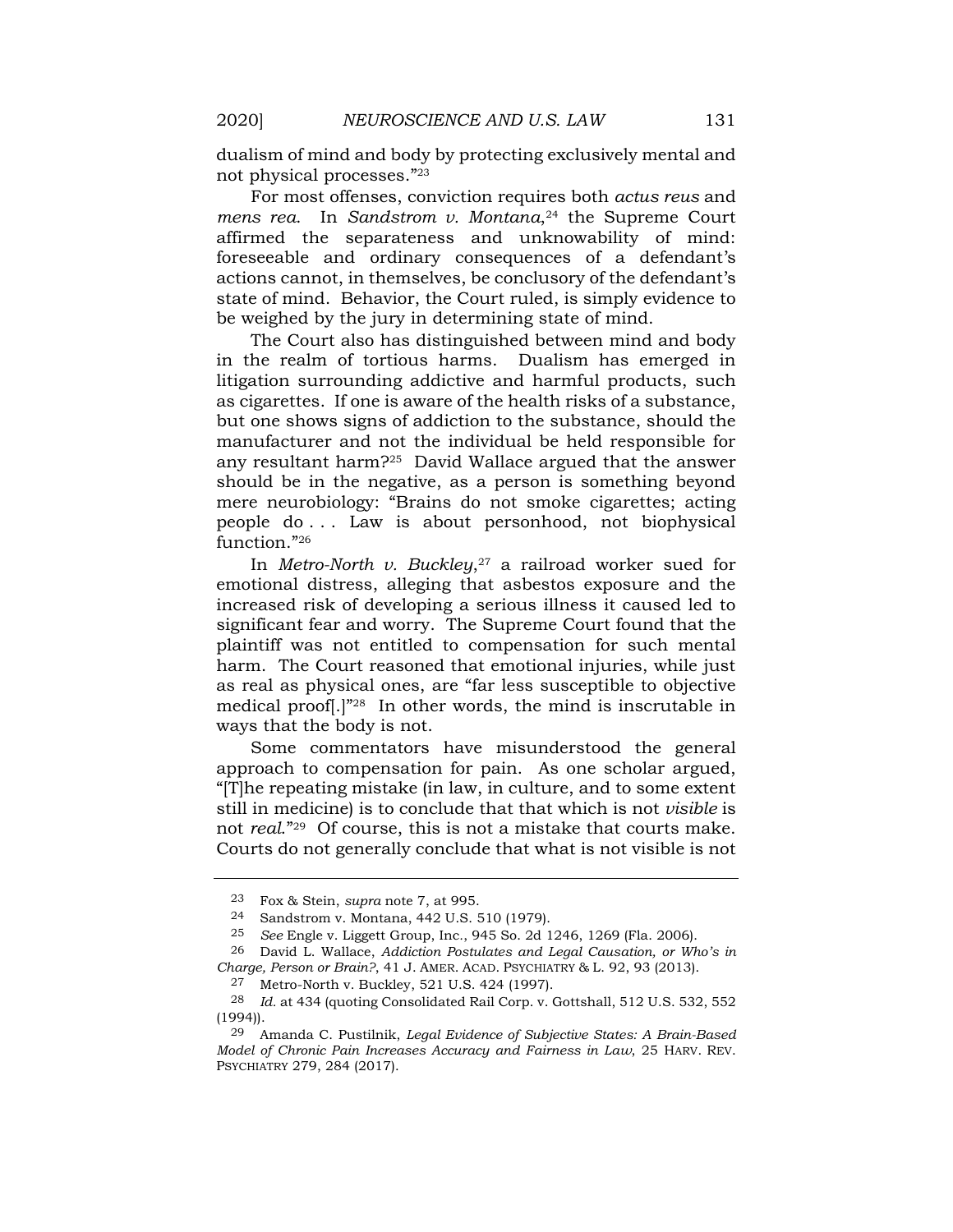dualism of mind and body by protecting exclusively mental and not physical processes."<sup>23</sup>

 affirmed the separateness and unknowability of mind: For most offenses, conviction requires both *actus reus* and *mens rea.* In *Sandstrom v. Montana*<sup>24</sup> the Supreme Court foreseeable and ordinary consequences of a defendant's actions cannot, in themselves, be conclusory of the defendant's state of mind. Behavior, the Court ruled, is simply evidence to be weighed by the jury in determining state of mind.

 The Court also has distinguished between mind and body as cigarettes. If one is aware of the health risks of a substance, manufacturer and not the individual be held responsible for mere neurobiology: "Brains do not smoke cigarettes; acting in the realm of tortious harms. Dualism has emerged in litigation surrounding addictive and harmful products, such but one shows signs of addiction to the substance, should the any resultant harm?25 David Wallace argued that the answer should be in the negative, as a person is something beyond people do . . . Law is about personhood, not biophysical function."26

 significant fear and worry. The Supreme Court found that the plaintiff was not entitled to compensation for such mental harm. The Court reasoned that emotional injuries, while just In *Metro-North v. Buckley*,<sup>27</sup> a railroad worker sued for emotional distress, alleging that asbestos exposure and the increased risk of developing a serious illness it caused led to as real as physical ones, are "far less susceptible to objective medical proof[.]"28 In other words, the mind is inscrutable in ways that the body is not.

 Courts do not generally conclude that what is not visible is not Some commentators have misunderstood the general approach to compensation for pain. As one scholar argued, "[T]he repeating mistake (in law, in culture, and to some extent still in medicine) is to conclude that that which is not *visible* is not *real*."29 Of course, this is not a mistake that courts make.

 23 Fox & Stein, *supra* note 7, at 995.

<sup>24</sup> Sandstrom v. Montana, 442 U.S. 510 (1979).

 25 *See* Engle v. Liggett Group, Inc*.*, 945 So. 2d 1246, 1269 (Fla. 2006).

 26 David L. Wallace, *Addiction Postulates and Legal Causation, or Who's in Charge, Person or Brain?*, 41 J. AMER. ACAD. PSYCHIATRY & L. 92, 93 (2013).

<sup>27</sup> Metro-North v. Buckley, 521 U.S. 424 (1997).

<sup>28</sup> *Id.* at 434 (quoting Consolidated Rail Corp. v. Gottshall, 512 U.S. 532, 552 (1994)).

 29 Amanda C. Pustilnik, *Legal Evidence of Subjective States: A Brain-Based Model of Chronic Pain Increases Accuracy and Fairness in Law*, 25 HARV. REV. PSYCHIATRY 279, 284 (2017).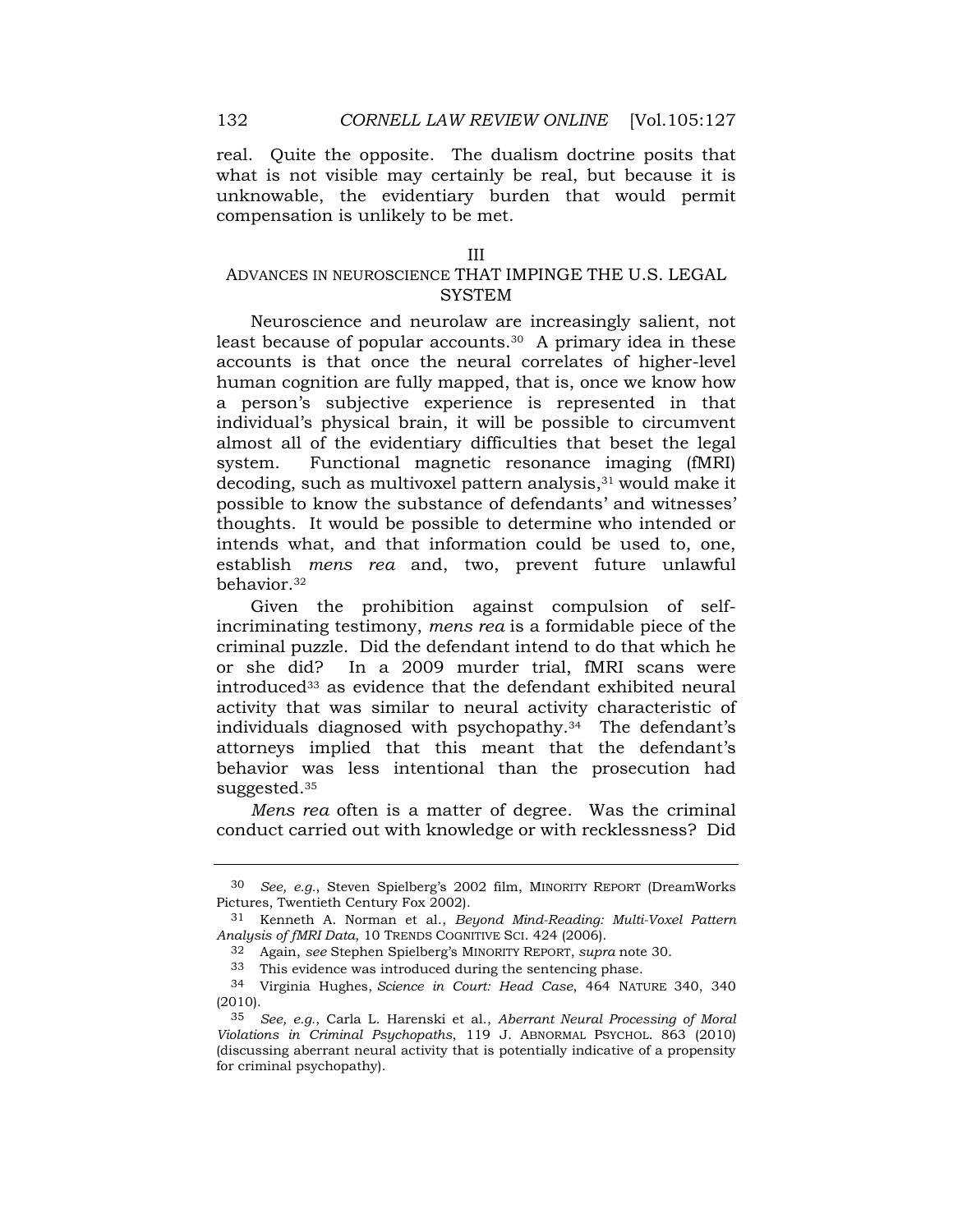what is not visible may certainly be real, but because it is unknowable, the evidentiary burden that would permit real. Quite the opposite. The dualism doctrine posits that compensation is unlikely to be met.

#### III

## ADVANCES IN NEUROSCIENCE THAT IMPINGE THE U.S. LEGAL **SYSTEM**

 Neuroscience and neurolaw are increasingly salient, not individual's physical brain, it will be possible to circumvent system. Functional magnetic resonance imaging (fMRI) intends what, and that information could be used to, one, least because of popular accounts.<sup>30</sup> A primary idea in these accounts is that once the neural correlates of higher-level human cognition are fully mapped, that is, once we know how a person's subjective experience is represented in that almost all of the evidentiary difficulties that beset the legal decoding, such as multivoxel pattern analysis,<sup>31</sup> would make it possible to know the substance of defendants' and witnesses' thoughts. It would be possible to determine who intended or establish *mens rea* and, two, prevent future unlawful [behavior.32](https://behavior.32) 

Given the prohibition against compulsion of selfincriminating testimony, *mens rea* is a formidable piece of the criminal puzzle. Did the defendant intend to do that which he or she did? In a 2009 murder trial, fMRI scans were introduced<sup>33</sup> as evidence that the defendant exhibited neural activity that was similar to neural activity characteristic of individuals diagnosed with [psychopathy.34](https://psychopathy.34) The defendant's attorneys implied that this meant that the defendant's behavior was less intentional than the prosecution had [suggested.35](https://suggested.35) 

*Mens rea* often is a matter of degree. Was the criminal conduct carried out with knowledge or with recklessness? Did

 30 *See, e.g.*, Steven Spielberg's 2002 film, MINORITY REPORT (DreamWorks Pictures, Twentieth Century Fox 2002).

 31 Kenneth A. Norman et al., *Beyond Mind-Reading: Multi-Voxel Pattern Analysis of fMRI Data*, 10 TRENDS COGNITIVE SCI. 424 (2006).

<sup>32</sup> Again, *see* Stephen Spielberg's MINORITY REPORT, *supra* note 30.

<sup>33</sup> This evidence was introduced during the sentencing phase.

 34 Virginia Hughes, *Science in Court: Head Case*, 464 NATURE 340, 340 (2010).

 35 *See, e.g.*, Carla L. Harenski et al., *Aberrant Neural Processing of Moral*  (discussing aberrant neural activity that is potentially indicative of a propensity *Violations in Criminal Psychopaths*, 119 J. ABNORMAL PSYCHOL. 863 (2010) for criminal psychopathy).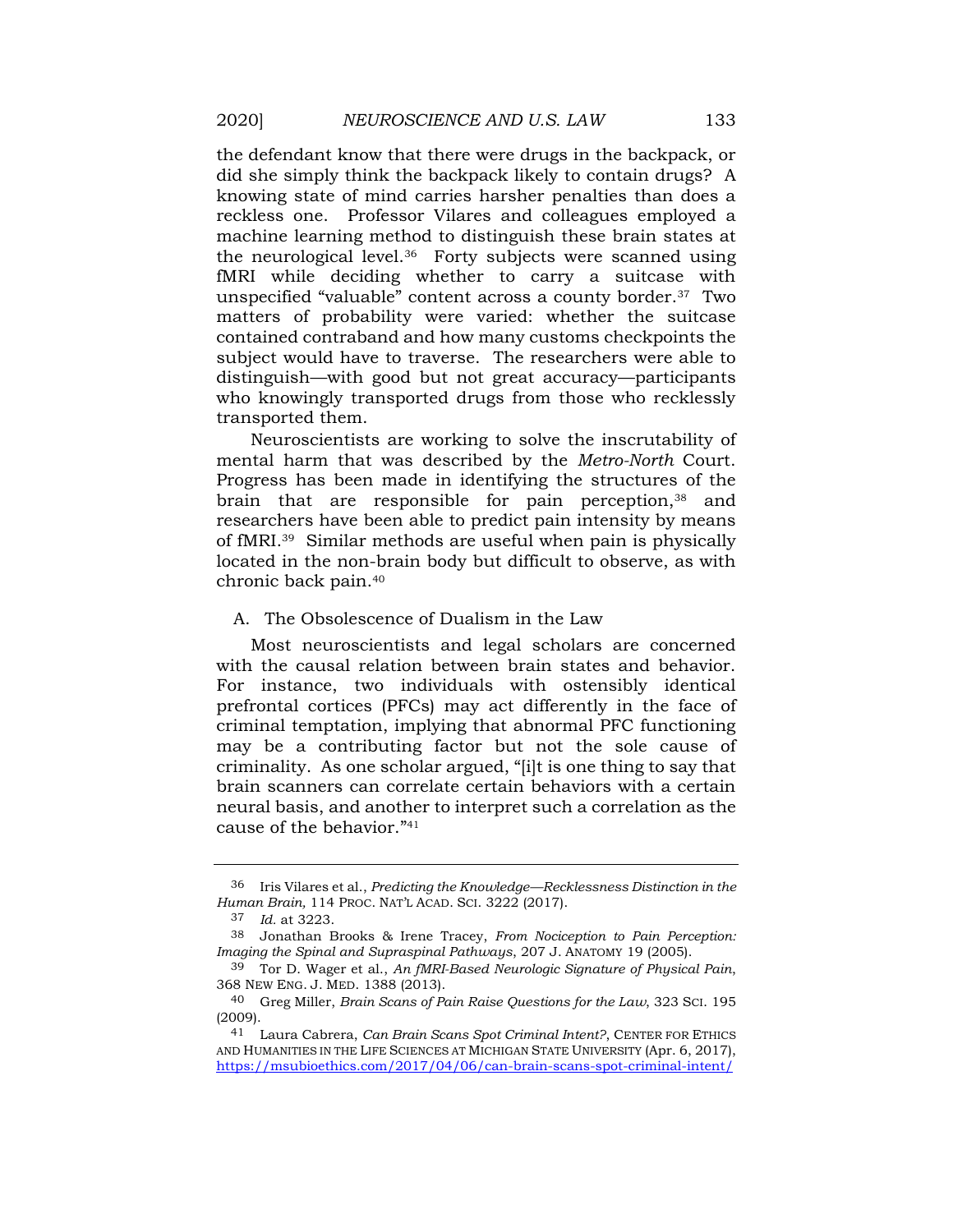the defendant know that there were drugs in the backpack, or did she simply think the backpack likely to contain drugs? A knowing state of mind carries harsher penalties than does a reckless one. Professor Vilares and colleagues employed a machine learning method to distinguish these brain states at the neurological [level.36](https://level.36) Forty subjects were scanned using fMRI while deciding whether to carry a suitcase with unspecified "valuable" content across a county [border.37](https://border.37) Two matters of probability were varied: whether the suitcase contained contraband and how many customs checkpoints the subject would have to traverse. The researchers were able to distinguish—with good but not great accuracy—participants who knowingly transported drugs from those who recklessly transported them.

 researchers have been able to predict pain intensity by means located in the non-brain body but difficult to observe, as with Neuroscientists are working to solve the inscrutability of mental harm that was described by the *Metro-North* Court. Progress has been made in identifying the structures of the brain that are responsible for pain perception,<sup>38</sup> and of fMRI.39 Similar methods are useful when pain is physically chronic back pain.40

## A. The Obsolescence of Dualism in the Law

 neural basis, and another to interpret such a correlation as the Most neuroscientists and legal scholars are concerned with the causal relation between brain states and behavior. For instance, two individuals with ostensibly identical prefrontal cortices (PFCs) may act differently in the face of criminal temptation, implying that abnormal PFC functioning may be a contributing factor but not the sole cause of criminality. As one scholar argued, "[i]t is one thing to say that brain scanners can correlate certain behaviors with a certain cause of the behavior."<sup>41</sup>

<sup>36</sup> Iris Vilares et al., *Predicting the Knowledge—Recklessness Distinction in the Human Brain,* 114 PROC. NAT'L ACAD. SCI. 3222 (2017).

<sup>37</sup> *Id.* at 3223.

 *Imaging the Spinal and Supraspinal Pathways*, 207 J. ANATOMY 19 (2005). 38 Jonathan Brooks & Irene Tracey, *From Nociception to Pain Perception:* 

 39 Tor D. Wager et al., *An fMRI-Based Neurologic Signature of Physical Pain*, 368 NEW ENG. J. MED. 1388 (2013).

 40 Greg Miller, *Brain Scans of Pain Raise Questions for the Law*, 323 SCI. 195 (2009).

 41 Laura Cabrera, *Can Brain Scans Spot Criminal Intent?*, CENTER FOR ETHICS AND HUMANITIES IN THE LIFE SCIENCES AT MICHIGAN STATE UNIVERSITY (Apr. 6, 2017), <https://msubioethics.com/2017/04/06/can-brain-scans-spot-criminal-intent/>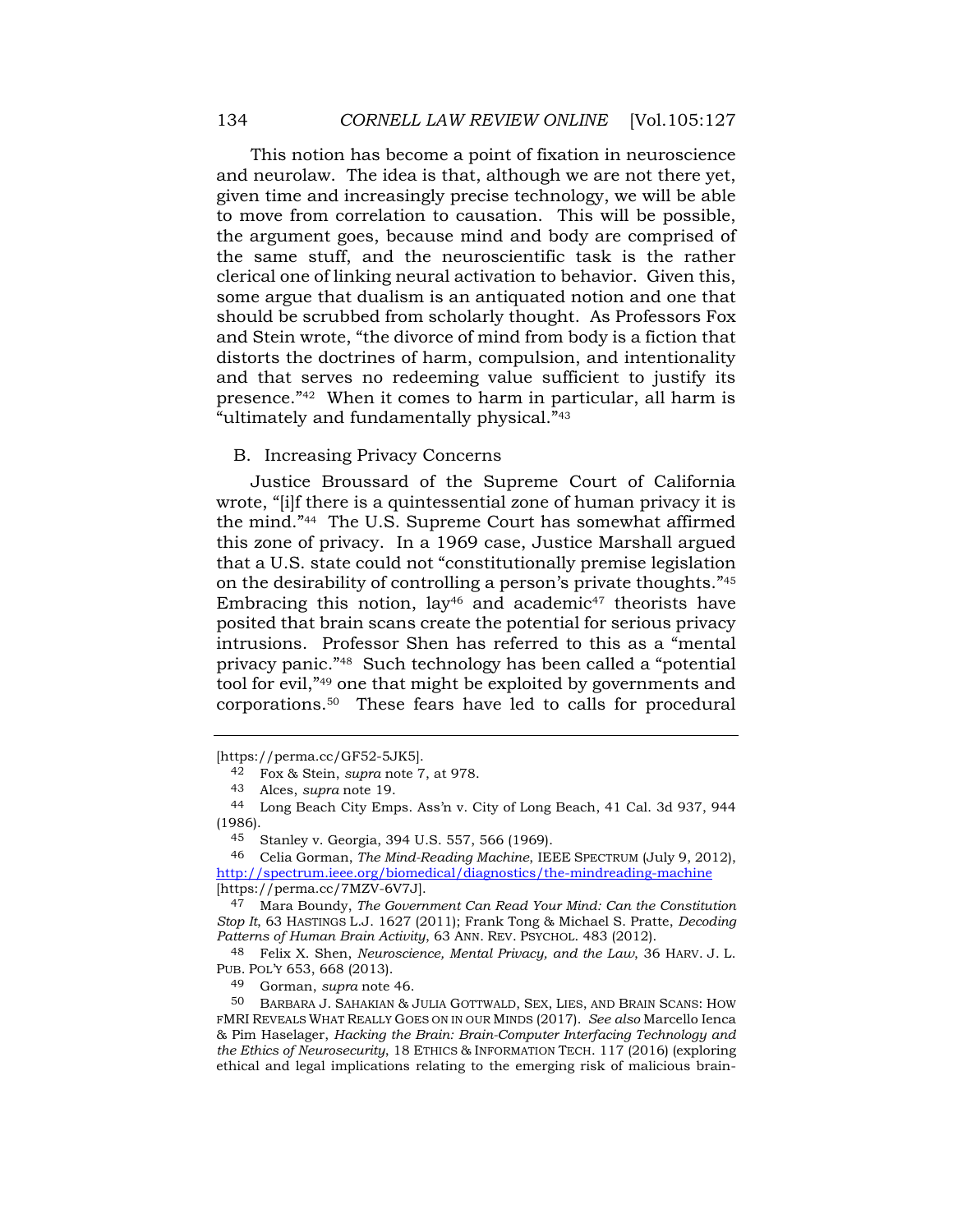This notion has become a point of fixation in neuroscience given time and increasingly precise technology, we will be able to move from correlation to causation. This will be possible, should be scrubbed from scholarly thought. As Professors Fox and that serves no redeeming value sufficient to justify its presence."42 When it comes to harm in particular, all harm is and neurolaw. The idea is that, although we are not there yet, the argument goes, because mind and body are comprised of the same stuff, and the neuroscientific task is the rather clerical one of linking neural activation to behavior. Given this, some argue that dualism is an antiquated notion and one that and Stein wrote, "the divorce of mind from body is a fiction that distorts the doctrines of harm, compulsion, and intentionality "ultimately and fundamentally physical."<sup>43</sup>

### B. Increasing Privacy Concerns

 wrote, "[i]f there is a quintessential zone of human privacy it is tool for evil,"49 one that might be exploited by governments and Justice Broussard of the Supreme Court of California the mind."44 The U.S. Supreme Court has somewhat affirmed this zone of privacy. In a 1969 case, Justice Marshall argued that a U.S. state could not "constitutionally premise legislation on the desirability of controlling a person's private thoughts."<sup>45</sup> Embracing this notion, lay<sup>46</sup> and academic<sup>47</sup> theorists have posited that brain scans create the potential for serious privacy intrusions. Professor Shen has referred to this as a "mental privacy panic."48 Such technology has been called a "potential [corporations.50](https://corporations.50) These fears have led to calls for procedural

<sup>[</sup><https://perma.cc/GF52-5JK5>].

 42 Fox & Stein, *supra* note 7, at 978.

<sup>43</sup> Alces, *supra* note 19.

 44 Long Beach City Emps. Ass'n v. City of Long Beach, 41 Cal. 3d 937, 944 (1986).

<sup>45</sup> Stanley v. Georgia, 394 U.S. 557, 566 (1969).

<sup>46</sup> Celia Gorman, *The Mind-Reading Machine*, IEEE SPECTRUM (July 9, 2012), <http://spectrum.ieee.org/biomedical/diagnostics/the-mindreading-machine> [[https://perma.cc/7MZV-6V7J\]](https://perma.cc/7MZV-6V7J).

 47 Mara Boundy, *The Government Can Read Your Mind: Can the Constitution Stop It*, 63 HASTINGS L.J. 1627 (2011); Frank Tong & Michael S. Pratte, *Decoding Patterns of Human Brain Activity*, 63 ANN. REV. PSYCHOL. 483 (2012).

 48 Felix X. Shen, *Neuroscience, Mental Privacy, and the Law*, 36 HARV. J. L. PUB. POL'Y 653, 668 (2013).

<sup>49</sup> Gorman, *supra* note 46.

 FMRI REVEALS WHAT REALLY GOES ON IN OUR MINDS (2017). *See also* Marcello Ienca  & Pim Haselager, *Hacking the Brain: Brain-Computer Interfacing Technology and the Ethics of Neurosecurity*, 18 ETHICS & INFORMATION TECH. 117 (2016) (exploring ethical and legal implications relating to the emerging risk of malicious brain-50 BARBARA J. SAHAKIAN & JULIA GOTTWALD, SEX, LIES, AND BRAIN SCANS: HOW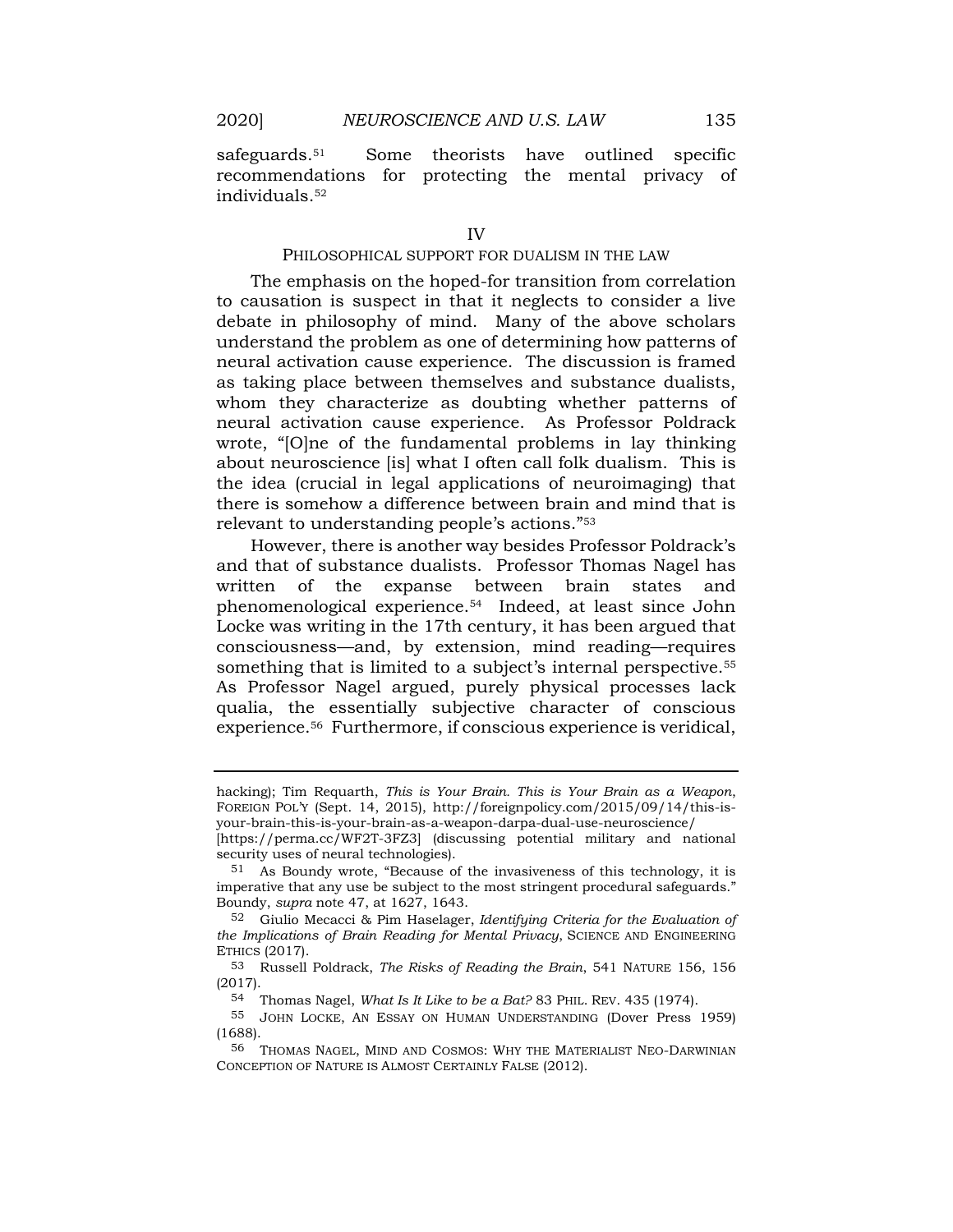safeguards.<sup>51</sup> Some theorists have outlined specific recommendations for protecting the mental privacy of individuals.52

## PHILOSOPHICAL SUPPORT FOR DUALISM IN THE LAW

 to causation is suspect in that it neglects to consider a live about neuroscience [is] what I often call folk dualism. This is The emphasis on the hoped-for transition from correlation debate in philosophy of mind. Many of the above scholars understand the problem as one of determining how patterns of neural activation cause experience. The discussion is framed as taking place between themselves and substance dualists, whom they characterize as doubting whether patterns of neural activation cause experience. As Professor Poldrack wrote, "[O]ne of the fundamental problems in lay thinking the idea (crucial in legal applications of neuroimaging) that there is somehow a difference between brain and mind that is relevant to understanding people's actions."<sup>53</sup>

 and that of substance dualists. Professor Thomas Nagel has phenomenological [experience.54](https://experience.54) Indeed, at least since John something that is limited to a subject's internal perspective.<sup>55</sup> However, there is another way besides Professor Poldrack's written of the expanse between brain states and Locke was writing in the 17th century, it has been argued that consciousness—and, by extension, mind reading—requires As Professor Nagel argued, purely physical processes lack qualia, the essentially subjective character of conscious [experience.56](https://experience.56) Furthermore, if conscious experience is veridical,

 54 Thomas Nagel, *What Is It Like to be a Bat?* 83 PHIL. REV. 435 (1974).

 hacking); Tim Requarth, *This is Your Brain. This is Your Brain as a Weapon*, FOREIGN POL'Y (Sept. 14, 2015), [http://foreignpolicy.com/2015/09/14/this-is](http://foreignpolicy.com/2015/09/14/this-is-your-brain-this-is-your-brain-as-a-weapon-darpa-dual-use-neuroscience/)[your-brain-this-is-your-brain-as-a-weapon-darpa-dual-use-neuroscience/](http://foreignpolicy.com/2015/09/14/this-is-your-brain-this-is-your-brain-as-a-weapon-darpa-dual-use-neuroscience/) 

<sup>[</sup><https://perma.cc/WF2T-3FZ3>] (discussing potential military and national security uses of neural technologies).

 51 As Boundy wrote, "Because of the invasiveness of this technology, it is imperative that any use be subject to the most stringent procedural safeguards." Boundy, *supra* note 47, at 1627, 1643.

 52 Giulio Mecacci & Pim Haselager, *Identifying Criteria for the Evaluation of the Implications of Brain Reading for Mental Privacy*, SCIENCE AND ENGINEERING ETHICS (2017).

 53 Russell Poldrack, *The Risks of Reading the Brain*, 541 NATURE 156, 156 (2017).

 55 JOHN LOCKE, AN ESSAY ON HUMAN UNDERSTANDING (Dover Press 1959) (1688).

 56 THOMAS NAGEL, MIND AND COSMOS: WHY THE MATERIALIST NEO-DARWINIAN CONCEPTION OF NATURE IS ALMOST CERTAINLY FALSE (2012).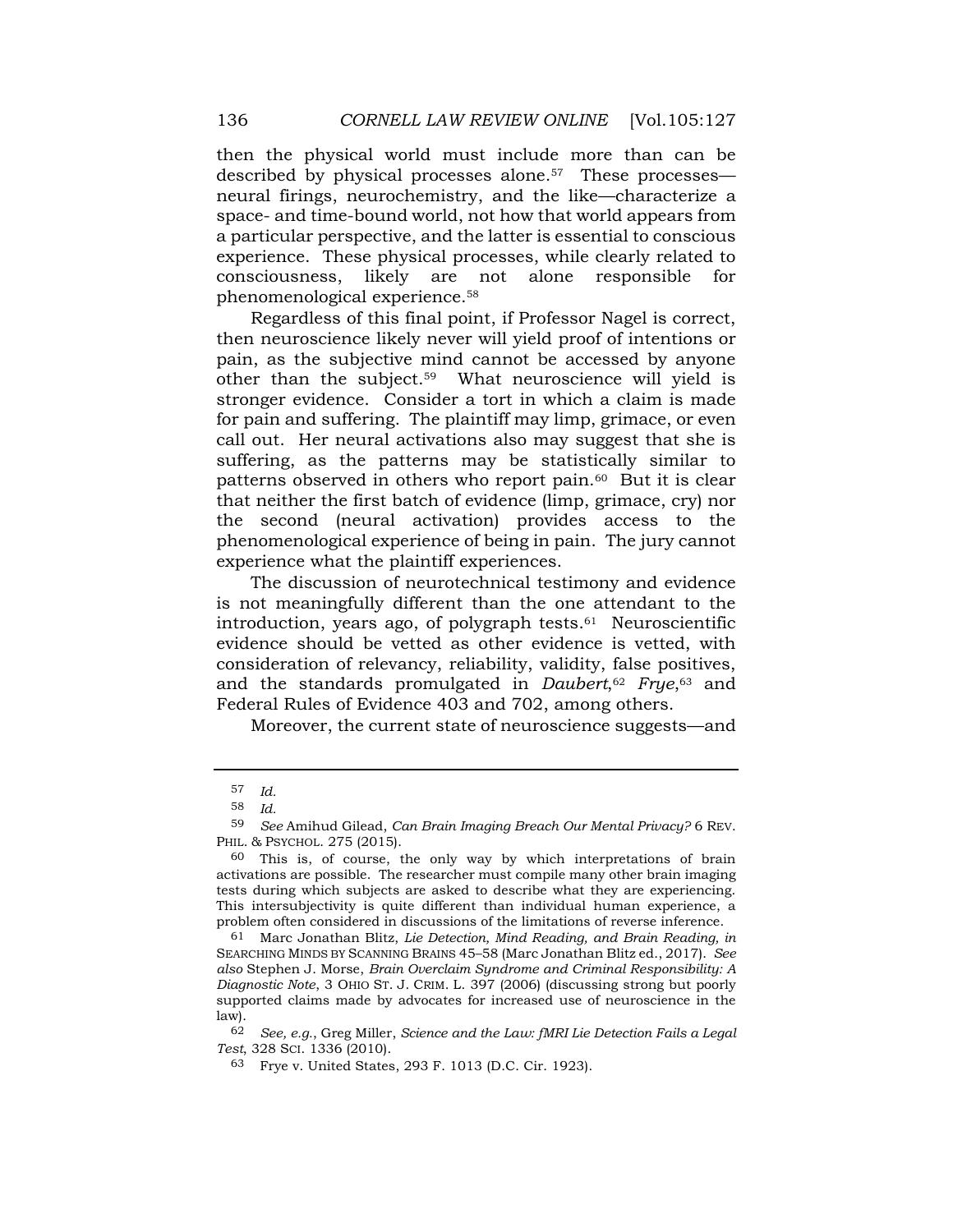then the physical world must include more than can be described by physical processes [alone.57](https://alone.57) These processes neural firings, neurochemistry, and the like—characterize a space- and time-bound world, not how that world appears from a particular perspective, and the latter is essential to conscious experience. These physical processes, while clearly related to consciousness, likely are not alone responsible for phenomenological [experience.58](https://experience.58) 

other than the subject.<sup>59</sup> What neuroscience will yield is stronger evidence. Consider a tort in which a claim is made call out. Her neural activations also may suggest that she is patterns observed in others who report pain.<sup>60</sup> But it is clear that neither the first batch of evidence (limp, grimace, cry) nor the second (neural activation) provides access to the Regardless of this final point, if Professor Nagel is correct, then neuroscience likely never will yield proof of intentions or pain, as the subjective mind cannot be accessed by anyone for pain and suffering. The plaintiff may limp, grimace, or even suffering, as the patterns may be statistically similar to phenomenological experience of being in pain. The jury cannot experience what the plaintiff experiences.

 evidence should be vetted as other evidence is vetted, with The discussion of neurotechnical testimony and evidence is not meaningfully different than the one attendant to the introduction, years ago, of polygraph tests.<sup>61</sup> Neuroscientific consideration of relevancy, reliability, validity, false positives, and the standards promulgated in *Daubert*,<sup>62</sup> *Frye*,<sup>63</sup> and Federal Rules of Evidence 403 and 702, among others.

Moreover, the current state of neuroscience suggests—and

 62 *See, e.g.*, Greg Miller, *Science and the Law: fMRI Lie Detection Fails a Legal Test*, 328 SCI. 1336 (2010).

<sup>57</sup> *Id.* 

<sup>58</sup> *Id.* 

<sup>59</sup> *See* Amihud Gilead, *Can Brain Imaging Breach Our Mental Privacy?* 6 REV. PHIL. & PSYCHOL. 275 (2015).

 60 This is, of course, the only way by which interpretations of brain tests during which subjects are asked to describe what they are experiencing. This intersubjectivity is quite different than individual human experience, a problem often considered in discussions of the limitations of reverse inference. activations are possible. The researcher must compile many other brain imaging

 *also* Stephen J. Morse, *Brain Overclaim Syndrome and Criminal Responsibility: A*  supported claims made by advocates for increased use of neuroscience in the 61 Marc Jonathan Blitz, *Lie Detection, Mind Reading, and Brain Reading, in*  SEARCHING MINDS BY SCANNING BRAINS 45–58 (Marc Jonathan Blitz ed., 2017). *See Diagnostic Note*, 3 OHIO ST. J. CRIM. L. 397 (2006) (discussing strong but poorly law).

 63 Frye v. United States, 293 F. 1013 (D.C. Cir. 1923).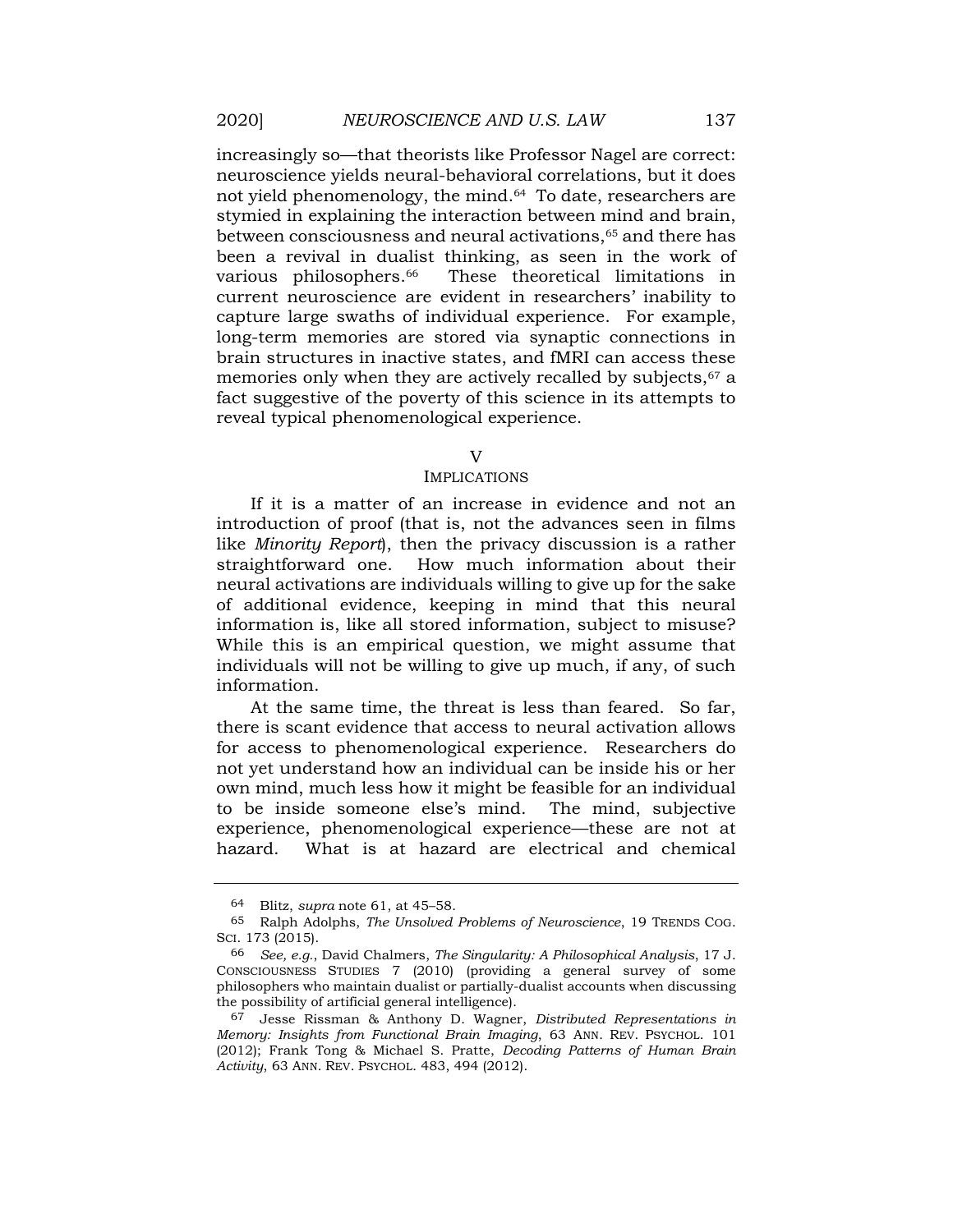neuroscience yields neural-behavioral correlations, but it does increasingly so—that theorists like Professor Nagel are correct: not yield phenomenology, the mind.<sup>64</sup> To date, researchers are stymied in explaining the interaction between mind and brain, between consciousness and neural activations,<sup>65</sup> and there has been a revival in dualist thinking, as seen in the work of various philosophers.<sup>66</sup> These theoretical limitations in current neuroscience are evident in researchers' inability to capture large swaths of individual experience. For example, long-term memories are stored via synaptic connections in brain structures in inactive states, and fMRI can access these memories only when they are actively recalled by subjects,<sup>67</sup> a fact suggestive of the poverty of this science in its attempts to reveal typical phenomenological experience.

## $V$

#### IMPLICATIONS

 If it is a matter of an increase in evidence and not an While this is an empirical question, we might assume that individuals will not be willing to give up much, if any, of such introduction of proof (that is, not the advances seen in films like *Minority Report*), then the privacy discussion is a rather straightforward one. How much information about their neural activations are individuals willing to give up for the sake of additional evidence, keeping in mind that this neural information is, like all stored information, subject to misuse? information.

 At the same time, the threat is less than feared. So far, not yet understand how an individual can be inside his or her own mind, much less how it might be feasible for an individual to be inside someone else's mind. The mind, subjective there is scant evidence that access to neural activation allows for access to phenomenological experience. Researchers do experience, phenomenological experience—these are not at hazard. What is at hazard are electrical and chemical

<sup>64</sup> Blitz, *supra* note 61, at 45–58.

 65 Ralph Adolphs, *The Unsolved Problems of Neuroscience*, 19 TRENDS COG. SCI. 173 (2015).

 CONSCIOUSNESS STUDIES 7 (2010) (providing a general survey of some 66 *See, e.g.*, David Chalmers, *The Singularity: A Philosophical Analysis*, 17 J. philosophers who maintain dualist or partially-dualist accounts when discussing the possibility of artificial general intelligence).

 67 Jesse Rissman & Anthony D. Wagner, *Distributed Representations in Memory: Insights from Functional Brain Imaging*, 63 ANN. REV. PSYCHOL. 101  (2012); Frank Tong & Michael S. Pratte, *Decoding Patterns of Human Brain Activity*, 63 ANN. REV. PSYCHOL. 483, 494 (2012).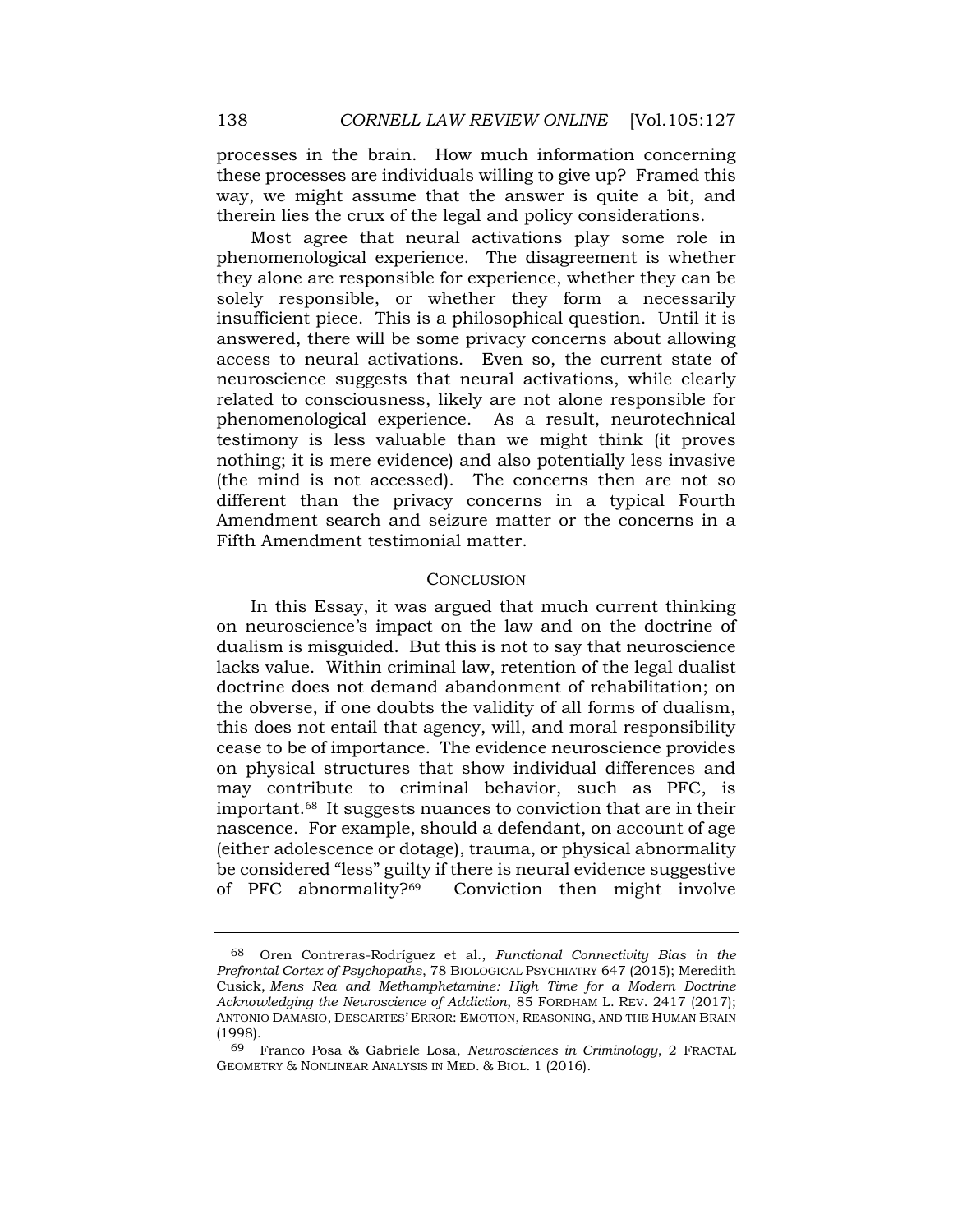way, we might assume that the answer is quite a bit, and processes in the brain. How much information concerning these processes are individuals willing to give up? Framed this therein lies the crux of the legal and policy considerations.

 insufficient piece. This is a philosophical question. Until it is neuroscience suggests that neural activations, while clearly phenomenological experience. As a result, neurotechnical nothing; it is mere evidence) and also potentially less invasive Amendment search and seizure matter or the concerns in a Most agree that neural activations play some role in phenomenological experience. The disagreement is whether they alone are responsible for experience, whether they can be solely responsible, or whether they form a necessarily answered, there will be some privacy concerns about allowing access to neural activations. Even so, the current state of related to consciousness, likely are not alone responsible for testimony is less valuable than we might think (it proves (the mind is not accessed). The concerns then are not so different than the privacy concerns in a typical Fourth Fifth Amendment testimonial matter.

## **CONCLUSION**

In this Essay, it was argued that much current thinking on neuroscience's impact on the law and on the doctrine of dualism is misguided. But this is not to say that neuroscience lacks value. Within criminal law, retention of the legal dualist doctrine does not demand abandonment of rehabilitation; on the obverse, if one doubts the validity of all forms of dualism, this does not entail that agency, will, and moral responsibility cease to be of importance. The evidence neuroscience provides on physical structures that show individual differences and may contribute to criminal behavior, such as PFC, is [important.68](https://important.68) It suggests nuances to conviction that are in their nascence. For example, should a defendant, on account of age (either adolescence or dotage), trauma, or physical abnormality be considered "less" guilty if there is neural evidence suggestive of PFC abnormality?69 Conviction then might involve

 *Prefrontal Cortex of Psychopaths*, 78 BIOLOGICAL PSYCHIATRY 647 (2015); Meredith  Cusick, *Mens Rea and Methamphetamine: High Time for a Modern Doctrine Acknowledging the Neuroscience of Addiction*, 85 FORDHAM L. REV. 2417 (2017); 68 Oren Contreras-Rodríguez et al., *Functional Connectivity Bias in the*  ANTONIO DAMASIO, DESCARTES' ERROR: EMOTION, REASONING, AND THE HUMAN BRAIN (1998).

<sup>69</sup> Franco Posa & Gabriele Losa, *Neurosciences in Criminology*, 2 FRACTAL GEOMETRY & NONLINEAR ANALYSIS IN MED. & BIOL. 1 (2016).